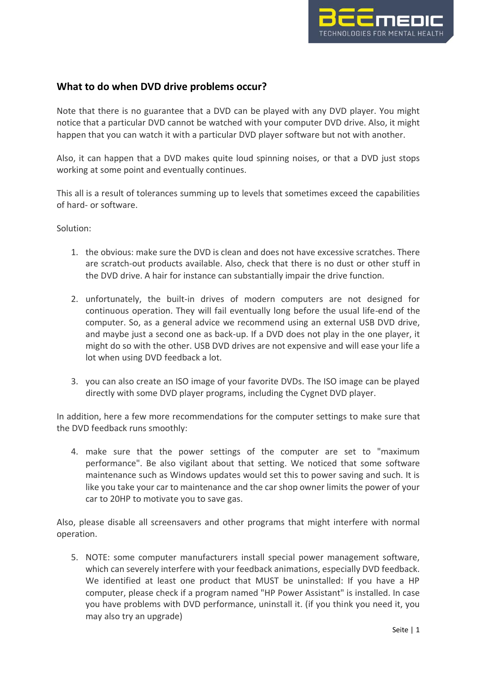

## **What to do when DVD drive problems occur?**

Note that there is no guarantee that a DVD can be played with any DVD player. You might notice that a particular DVD cannot be watched with your computer DVD drive. Also, it might happen that you can watch it with a particular DVD player software but not with another.

Also, it can happen that a DVD makes quite loud spinning noises, or that a DVD just stops working at some point and eventually continues.

This all is a result of tolerances summing up to levels that sometimes exceed the capabilities of hard- or software.

Solution:

- 1. the obvious: make sure the DVD is clean and does not have excessive scratches. There are scratch-out products available. Also, check that there is no dust or other stuff in the DVD drive. A hair for instance can substantially impair the drive function.
- 2. unfortunately, the built-in drives of modern computers are not designed for continuous operation. They will fail eventually long before the usual life-end of the computer. So, as a general advice we recommend using an external USB DVD drive, and maybe just a second one as back-up. If a DVD does not play in the one player, it might do so with the other. USB DVD drives are not expensive and will ease your life a lot when using DVD feedback a lot.
- 3. you can also create an ISO image of your favorite DVDs. The ISO image can be played directly with some DVD player programs, including the Cygnet DVD player.

In addition, here a few more recommendations for the computer settings to make sure that the DVD feedback runs smoothly:

4. make sure that the power settings of the computer are set to "maximum performance". Be also vigilant about that setting. We noticed that some software maintenance such as Windows updates would set this to power saving and such. It is like you take your car to maintenance and the car shop owner limits the power of your car to 20HP to motivate you to save gas.

Also, please disable all screensavers and other programs that might interfere with normal operation.

5. NOTE: some computer manufacturers install special power management software, which can severely interfere with your feedback animations, especially DVD feedback. We identified at least one product that MUST be uninstalled: If you have a HP computer, please check if a program named "HP Power Assistant" is installed. In case you have problems with DVD performance, uninstall it. (if you think you need it, you may also try an upgrade)